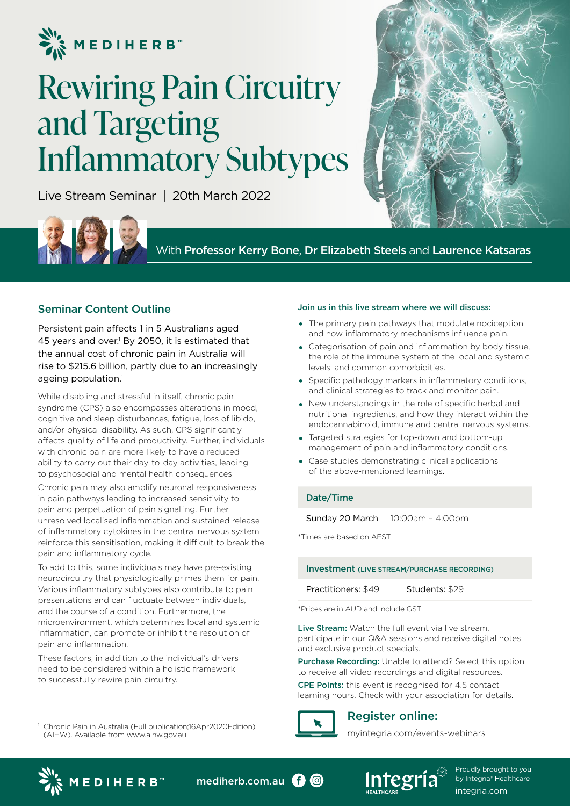

# Rewiring Pain Circuitry and Targeting Inflammatory Subtypes

Live Stream Seminar | 20th March 2022



With Professor Kerry Bone, Dr Elizabeth Steels and Laurence Katsaras

## Seminar Content Outline

Persistent pain affects 1 in 5 Australians aged 45 years and over.<sup>1</sup> By 2050, it is estimated that the annual cost of chronic pain in Australia will rise to \$215.6 billion, partly due to an increasingly ageing population. $<sup>1</sup>$ </sup>

While disabling and stressful in itself, chronic pain syndrome (CPS) also encompasses alterations in mood, cognitive and sleep disturbances, fatigue, loss of libido, and/or physical disability. As such, CPS significantly affects quality of life and productivity. Further, individuals with chronic pain are more likely to have a reduced ability to carry out their day-to-day activities, leading to psychosocial and mental health consequences.

Chronic pain may also amplify neuronal responsiveness in pain pathways leading to increased sensitivity to pain and perpetuation of pain signalling. Further, unresolved localised inflammation and sustained release of inflammatory cytokines in the central nervous system reinforce this sensitisation, making it difficult to break the pain and inflammatory cycle.

To add to this, some individuals may have pre-existing neurocircuitry that physiologically primes them for pain. Various inflammatory subtypes also contribute to pain presentations and can fluctuate between individuals, and the course of a condition. Furthermore, the microenvironment, which determines local and systemic inflammation, can promote or inhibit the resolution of pain and inflammation.

These factors, in addition to the individual's drivers need to be considered within a holistic framework to successfully rewire pain circuitry.

<sup>1</sup> Chronic Pain in Australia (Full publication;16Apr2020Edition) (AIHW). Available from www.aihw.gov.au

#### Join us in this live stream where we will discuss:

- The primary pain pathways that modulate nociception and how inflammatory mechanisms influence pain.
- Categorisation of pain and inflammation by body tissue, the role of the immune system at the local and systemic levels, and common comorbidities.
- Specific pathology markers in inflammatory conditions, and clinical strategies to track and monitor pain.
- New understandings in the role of specific herbal and nutritional ingredients, and how they interact within the endocannabinoid, immune and central nervous systems.
- Targeted strategies for top-down and bottom-up management of pain and inflammatory conditions.
- Case studies demonstrating clinical applications of the above-mentioned learnings.

### Date/Time

Sunday 20 March 10:00am – 4:00pm

\*Times are based on AEST

#### Investment (LIVE STREAM/PURCHASE RECORDING)

Practitioners: \$49 Students: \$29

\*Prices are in AUD and include GST

Live Stream: Watch the full event via live stream, participate in our Q&A sessions and receive digital notes and exclusive product specials.

Purchase Recording: Unable to attend? Select this option to receive all video recordings and digital resources.

CPE Points: this event is recognised for 4.5 contact learning hours. Check with your association for details.



 $\odot$ 

## Register online:

myintegria.com/events-webinars



mediherb.com.au **O** 



Proudly brought to you by Integria<sup>®</sup> Healthcare integria.com